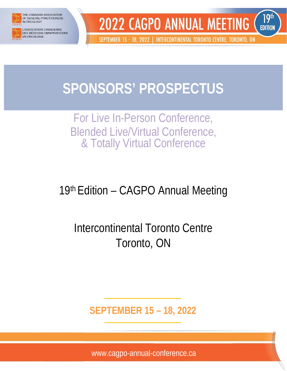

**HE CANADIAN ASSOCIATION** OF GENERAL PRACTITIONERS IN ONCOLOGY

**ASSOCIATION CANADIENNE DES MÉDECINS OMNIPRATICIENS EN ONCOLOGIE** 



SEPTEMBER 15 - 18, 2022 | INTERCONTINENTAL TORONTO CENTRE, TORONTO, ON

# **SPONSORS' PROSPECTUS**

# For Live In-Person Conference, Blended Live/Virtual Conference, & Totally Virtual Conference

# 19th Edition – CAGPO Annual Meeting

# Intercontinental Toronto Centre Toronto, ON

**SEPTEMBER 15 – 18, 2022**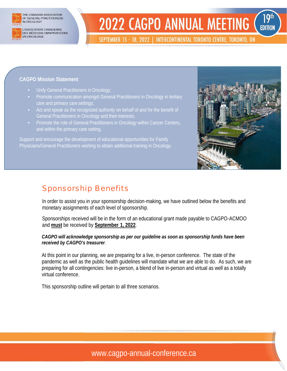

THE CANADIAN ASSOCIATION OF GENERAL PRACTITIONERS IN ONCOLOGY

ASSOCIATION CANADIENNE DES MÉDECINS OMNIPRATICIENS **EN ONCOLOGIE** 

# **2022 CAGPO ANNUAL MEETING EDITION**

SEPTEMBER 15 - 18, 2022 | INTERCONTINENTAL TORONTO CENTRE, TORONTO, ON

#### **CAGPO Mission Statement**

- Unify General Practitioners in Oncology;
- Promote communication amongst General Practitioners in Oncology in tertiary care and primary care settings;
- Act and speak as the recognized authority on behalf of and for the benefit of General Practitioners in Oncology and their interests;
- Promote the role of General Practitioners in Oncology within Cancer Centers, and within the primary care setting.

Support and encourage the development of educational opportunities for Family Physicians/General Practitioners wishing to obtain additional training in Oncology.



**19th** 

#### Sponsorship Benefits

In order to assist you in your sponsorship decision-making, we have outlined below the benefits and monetary assignments of each level of sponsorship.

Sponsorships received will be in the form of an educational grant made payable to CAGPO-ACMOO and **must** be received by **September 1, 2022**.

*CAGPO will acknowledge sponsorship as per our guideline as soon as sponsorship funds have been received by CAGPO's treasurer*.

At this point in our planning, we are preparing for a live, in-person conference. The state of the pandemic as well as the public health guidelines will mandate what we are able to do. As such, we are preparing for all contingencies: live in-person, a blend of live in-person and virtual as well as a totally virtual conference.

This sponsorship outline will pertain to all three scenarios.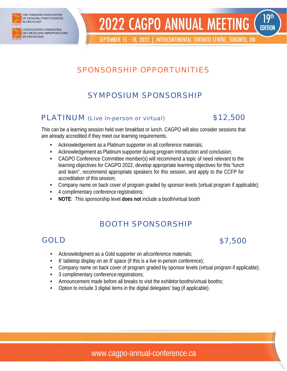

THE CANADIAN ASSOCIATION OF GENERAL PRACTITIONERS IN ONCOLOGY

ASSOCIATION CANADIENNE DES MÉDECINS OMNIPRATICIENS **EN ONCOLOGIE** 

#### **19th 2022 CAGPO ANNUAL MEETING EDITION**

SEPTEMBER 15 - 18, 2022 | INTERCONTINENTAL TORONTO CENTRE, TORONTO, ON

## SPONSORSHIP OPPORTUNITIES

# SYMPOSIUM SPONSORSHIP

#### PLATINUM (Live in-person or virtual) \$12,500



This can be a learning session held over breakfast or lunch. CAGPO will also consider sessions that are already accredited if they meet our learning requirements.

- Acknowledgement as a Platinum supporter on all conference materials;
- Acknowledgement as Platinum supporter during program introduction and conclusion;
- CAGPO Conference Committee member(s) will recommend a topic of need relevant to the learning objectives for CAGPO 2022, develop appropriate learning objectives for this "lunch and learn", recommend appropriate speakers for this session, and apply to the CCFP for accreditation of this session;
- Company name on back cover of program graded by sponsor levels (virtual program if applicable);
- 4 complimentary conference registrations;
- **NOTE**: This sponsorship level **does not** include a booth/virtual booth

### BOOTH SPONSORSHIP

# GOLD \$7,500

- Acknowledgment as a Gold supporter on allconference materials;
- 6' tabletop display on an 8' space (if this is a live in-person conference);
- Company name on back cover of program graded by sponsor levels (virtual program if applicable);
- 3 complimentary conference registrations;
- Announcement made before all breaks to visit the exhibitor booths/virtual booths;
- Option to include 3 digital items in the digital delegates' bag (if applicable).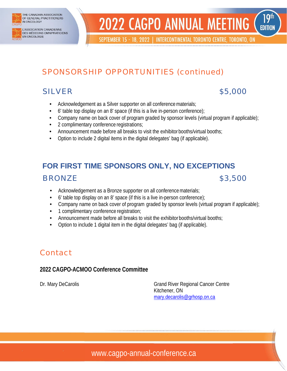

THE CANADIAN ASSOCIATION OF GENERAL PRACTITIONERS IN ONCOLOGY

ASSOCIATION CANADIENNE **DES MÉDECINS OMNIPRATICIENS EN ONCOLOGIE** 

#### **2022 CAGPO ANNUAL MEETING EDITION**

SEPTEMBER 15 - 18, 2022 | INTERCONTINENTAL TORONTO CENTRE, TORONTO, ON

# SPONSORSHIP OPPORTUNITIES (continued)

#### SILVER \$5,000

19<sup>th</sup>

- Acknowledgement as a Silver supporter on all conference materials;
- 6' table top display on an 8' space (if this is a live in-person conference);
- Company name on back cover of program graded by sponsor levels (virtual program if applicable);
- 2 complimentary conference registrations;
- Announcement made before all breaks to visit the exhibitor booths/virtual booths;
- Option to include 2 digital items in the digital delegates' bag (if applicable).

# **FOR FIRST TIME SPONSORS ONLY, NO EXCEPTIONS BRONZE** \$3,500

- Acknowledgement as a Bronze supporter on all conference materials;
- 6' table top display on an 8' space (if this is a live in-person conference);
- Company name on back cover of program graded by sponsor levels (virtual program if applicable);
- 1 complimentary conference registration;
- Announcement made before all breaks to visit the exhibitor booths/virtual booths;
- Option to include 1 digital item in the digital delegates' bag (if applicable).

### Contact

#### **2022 CAGPO-ACMOO Conference Committee**

Dr. Mary DeCarolis Grand River Regional Cancer Centre Kitchener, ON [mary.decarolis@grhosp.on.ca](mailto:mary.decarolis@grhosp.on.ca)